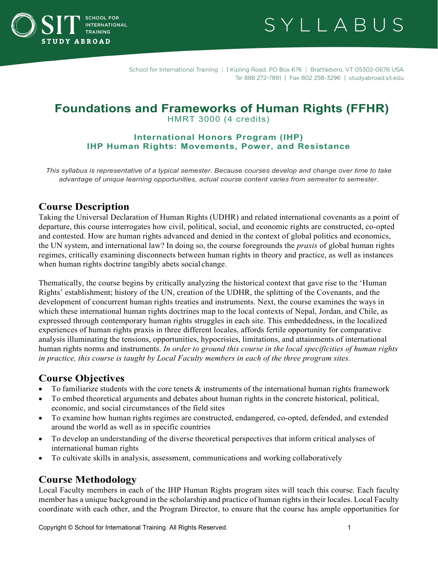

SYLLABUS

School for International Training | 1 Kipling Road, PO Box 676 | Brattleboro, VT 05302-0676 USA Tel 888 272-7881 | Fax 802 258-3296 | studyabroad.sit.edu

# **Foundations and Frameworks of Human Rights (FFHR)**

HMRT 3000 (4 credits)

# **International Honors Program (IHP) IHP Human Rights: Movements, Power, and Resistance**

*This syllabus is representative of a typical semester. Because courses develop and change over time to take advantage of unique learning opportunities, actual course content varies from semester to semester.*

# **Course Description**

Taking the Universal Declaration of Human Rights (UDHR) and related international covenants as a point of departure, this course interrogates how civil, political, social, and economic rights are constructed, co-opted and contested. How are human rights advanced and denied in the context of global politics and economics, the UN system, and international law? In doing so, the course foregrounds the *praxis* of global human rights regimes, critically examining disconnects between human rights in theory and practice, as well as instances when human rights doctrine tangibly abets social change.

Thematically, the course begins by critically analyzing the historical context that gave rise to the 'Human Rights' establishment; history of the UN, creation of the UDHR, the splitting of the Covenants, and the development of concurrent human rights treaties and instruments. Next, the course examines the ways in which these international human rights doctrines map to the local contexts of Nepal, Jordan, and Chile, as expressed through contemporary human rights struggles in each site. This embeddedness, in the localized experiences of human rights praxis in three different locales, affords fertile opportunity for comparative analysis illuminating the tensions, opportunities, hypocrisies, limitations, and attainments of international human rights norms and instruments. *In order to ground this course in the local specificities of human rights in practice, this course is taught by Local Faculty members in each of the three program sites.*

# **Course Objectives**

- To familiarize students with the core tenets  $\&$  instruments of the international human rights framework
- To embed theoretical arguments and debates about human rights in the concrete historical, political, economic, and social circumstances of the field sites
- To examine how human rights regimes are constructed, endangered, co-opted, defended, and extended around the world as well as in specific countries
- To develop an understanding of the diverse theoretical perspectives that inform critical analyses of international human rights
- To cultivate skills in analysis, assessment, communications and working collaboratively

# **Course Methodology**

Local Faculty members in each of the IHP Human Rights program sites will teach this course. Each faculty member has a unique background in the scholarship and practice of human rights in their locales. Local Faculty coordinate with each other, and the Program Director, to ensure that the course has ample opportunities for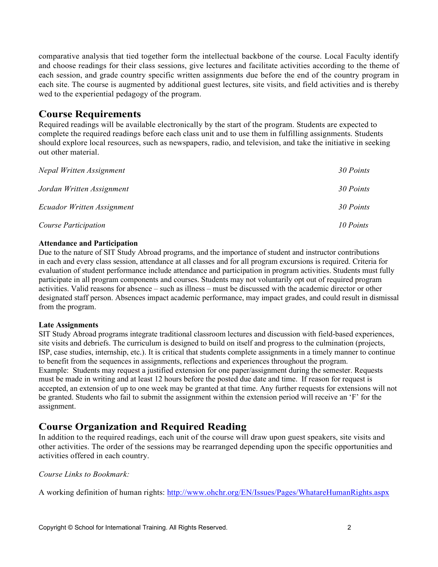comparative analysis that tied together form the intellectual backbone of the course. Local Faculty identify and choose readings for their class sessions, give lectures and facilitate activities according to the theme of each session, and grade country specific written assignments due before the end of the country program in each site. The course is augmented by additional guest lectures, site visits, and field activities and is thereby wed to the experiential pedagogy of the program.

# **Course Requirements**

Required readings will be available electronically by the start of the program. Students are expected to complete the required readings before each class unit and to use them in fulfilling assignments. Students should explore local resources, such as newspapers, radio, and television, and take the initiative in seeking out other material.

| Nepal Written Assignment   | 30 Points |
|----------------------------|-----------|
| Jordan Written Assignment  | 30 Points |
| Ecuador Written Assignment | 30 Points |
| Course Participation       | 10 Points |

#### **Attendance and Participation**

Due to the nature of SIT Study Abroad programs, and the importance of student and instructor contributions in each and every class session, attendance at all classes and for all program excursions is required. Criteria for evaluation of student performance include attendance and participation in program activities. Students must fully participate in all program components and courses. Students may not voluntarily opt out of required program activities. Valid reasons for absence – such as illness – must be discussed with the academic director or other designated staff person. Absences impact academic performance, may impact grades, and could result in dismissal from the program.

#### **Late Assignments**

SIT Study Abroad programs integrate traditional classroom lectures and discussion with field-based experiences, site visits and debriefs. The curriculum is designed to build on itself and progress to the culmination (projects, ISP, case studies, internship, etc.). It is critical that students complete assignments in a timely manner to continue to benefit from the sequences in assignments, reflections and experiences throughout the program. Example: Students may request a justified extension for one paper/assignment during the semester. Requests must be made in writing and at least 12 hours before the posted due date and time. If reason for request is accepted, an extension of up to one week may be granted at that time. Any further requests for extensions will not be granted. Students who fail to submit the assignment within the extension period will receive an 'F' for the assignment.

# **Course Organization and Required Reading**

In addition to the required readings, each unit of the course will draw upon guest speakers, site visits and other activities. The order of the sessions may be rearranged depending upon the specific opportunities and activities offered in each country.

# *Course Links to Bookmark:*

A working definition of human rights:<http://www.ohchr.org/EN/Issues/Pages/WhatareHumanRights.aspx>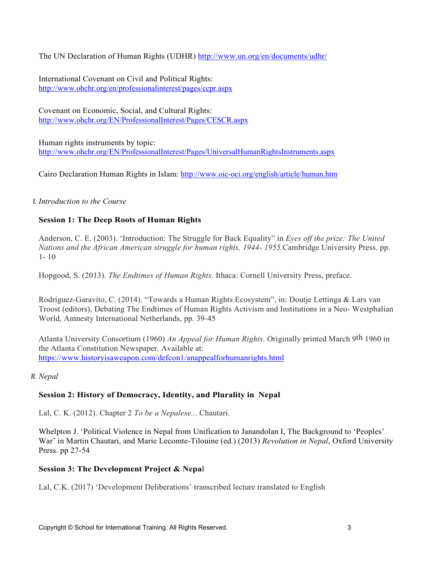The UN Declaration of Human Rights (UDHR)<http://www.un.org/en/documents/udhr/>

International Covenant on Civil and Political Rights: <http://www.ohchr.org/en/professionalinterest/pages/ccpr.aspx>

Covenant on Economic, Social, and Cultural Rights: <http://www.ohchr.org/EN/ProfessionalInterest/Pages/CESCR.aspx>

Human rights instruments by topic: <http://www.ohchr.org/EN/ProfessionalInterest/Pages/UniversalHumanRightsInstruments.aspx>

Cairo Declaration Human Rights in Islam:<http://www.oic-oci.org/english/article/human.htm>

# *I. Introduction to the Course*

# **Session 1: The Deep Roots of Human Rights**

Anderson, C. E. (2003). 'Introduction: The Struggle for Back Equality" in *Eyes off the prize: The United Nations and the African American struggle for human rights, 1944- 1955.*Cambridge University Press. pp. 1- 10

Hopgood, S. (2013). *The Endtimes of Human Rights*. Ithaca: Cornell University Press, preface.

Rodríguez-Garavito, C. (2014). "Towards a Human Rights Ecosystem", in: Doutje Lettinga & Lars van Troost (editors), Debating The Endtimes of Human Rights Activism and Institutions in a Neo- Westphalian World, Amnesty International Netherlands, pp. 39-45

Atlanta University Consortium (1960) *An Appeal for Human Rights*. Originally printed March 9th 1960 in the Atlanta Constitution Newspaper. Available at: https:/[/www.historyisaweapon.com/defcon1/anappealforhumanrights.html](http://www.historyisaweapon.com/defcon1/anappealforhumanrights.html)

*II. Nepal*

# **Session 2: History of Democracy, Identity, and Plurality in Nepal**

Lal, C. K. (2012). Chapter 2 *To be a Nepalese..*. Chautari.

Whelpton J. 'Political Violence in Nepal from Unification to Janandolan I, The Background to 'Peoples' War' in Martin Chautari, and Marie Lecomte-Tilouine (ed.) (2013) *Revolution in Nepal*, Oxford University Press. pp 27-54

# **Session 3: The Development Project & Nepa**l

Lal, C.K. (2017) 'Development Deliberations' transcribed lecture translated to English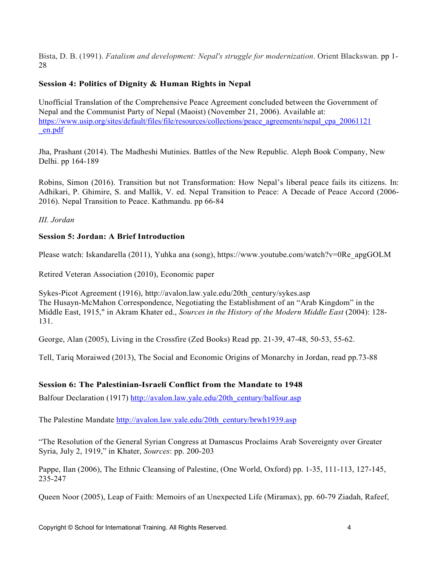Bista, D. B. (1991). *Fatalism and development: Nepal's struggle for modernization*. Orient Blackswan. pp 1- 28

# **Session 4: Politics of Dignity & Human Rights in Nepal**

Unofficial Translation of the Comprehensive Peace Agreement concluded between the Government of Nepal and the Communist Party of Nepal (Maoist) (November 21, 2006). Available at: https:/[/www.usip.org/sites/default/files/file/resources/collections/peace\\_agreements/nepal\\_cpa\\_20061121](http://www.usip.org/sites/default/files/file/resources/collections/peace_agreements/nepal_cpa_20061121) \_en.pdf

Jha, Prashant (2014). The Madheshi Mutinies. Battles of the New Republic. Aleph Book Company, New Delhi. pp 164-189

Robins, Simon (2016). Transition but not Transformation: How Nepal's liberal peace fails its citizens. In: Adhikari, P. Ghimire, S. and Mallik, V. ed. Nepal Transition to Peace: A Decade of Peace Accord (2006- 2016). Nepal Transition to Peace. Kathmandu. pp 66-84

*III. Jordan*

# **Session 5: Jordan: A Brief Introduction**

Please watch: Iskandarella (2011), Yuhka ana (song), https:/[/www.youtube.com/watch?v=0Re\\_apgGOLM](http://www.youtube.com/watch?v=0Re_apgGOLM)

Retired Veteran Association (2010), Economic paper

Sykes-Picot Agreement (1916), [http://avalon.law.yale.edu/20th\\_century/sykes.asp](http://avalon.law.yale.edu/20th_century/sykes.asp) The Husayn-McMahon Correspondence, Negotiating the Establishment of an "Arab Kingdom" in the Middle East, 1915," in Akram Khater ed., *Sources in the History of the Modern Middle East* (2004): 128- 131.

George, Alan (2005), Living in the Crossfire (Zed Books) Read pp. 21-39, 47-48, 50-53, 55-62.

Tell, Tariq Moraiwed (2013), The Social and Economic Origins of Monarchy in Jordan, read pp.73-88

# **Session 6: The Palestinian-Israeli Conflict from the Mandate to 1948**

Balfour Declaration (1917) [http://avalon.law.yale.edu/20th\\_century/balfour.asp](http://avalon.law.yale.edu/20th_century/balfour.asp)

The Palestine Mandate [http://avalon.law.yale.edu/20th\\_century/brwh1939.asp](http://avalon.law.yale.edu/20th_century/brwh1939.asp)

"The Resolution of the General Syrian Congress at Damascus Proclaims Arab Sovereignty over Greater Syria, July 2, 1919," in Khater, *Sources*: pp. 200-203

Pappe, Ilan (2006), The Ethnic Cleansing of Palestine, (One World, Oxford) pp. 1-35, 111-113, 127-145, 235-247

Queen Noor (2005), Leap of Faith: Memoirs of an Unexpected Life (Miramax), pp. 60-79 Ziadah, Rafeef,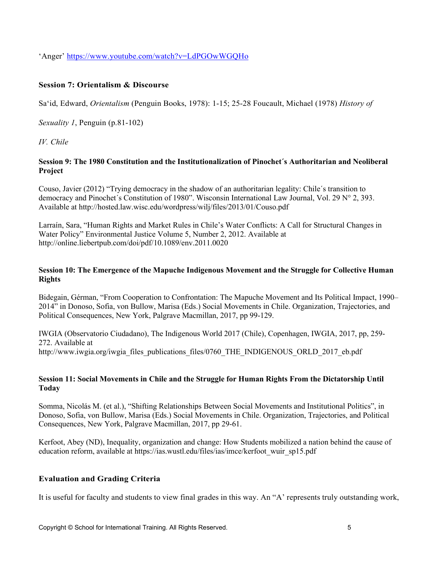'Anger' https:/[/www.youtube.com/watch?v=LdPGOwWGQHo](http://www.youtube.com/watch?v=LdPGOwWGQHo)

### **Session 7: Orientalism & Discourse**

Sa'id, Edward, *Orientalism* (Penguin Books, 1978): 1-15; 25-28 Foucault, Michael (1978) *History of* 

*Sexuality 1*, Penguin (p.81-102)

*IV. Chile*

#### **Session 9: The 1980 Constitution and the Institutionalization of Pinochet´s Authoritarian and Neoliberal Project**

Couso, Javier (2012) "Trying democracy in the shadow of an authoritarian legality: Chile´s transition to democracy and Pinochet´s Constitution of 1980". Wisconsin International Law Journal, Vol. 29 N° 2, 393. Available at http://hosted.law.wisc.edu/wordpress/wilj/files/2013/01/Couso.pdf

Larraín, Sara, "Human Rights and Market Rules in Chile's Water Conflicts: A Call for Structural Changes in Water Policy" Environmental Justice Volume 5, Number 2, 2012. Available at http://online.liebertpub.com/doi/pdf/10.1089/env.2011.0020

### **Session 10: The Emergence of the Mapuche Indigenous Movement and the Struggle for Collective Human Rights**

Bidegain, Gérman, "From Cooperation to Confrontation: The Mapuche Movement and Its Political Impact, 1990– 2014" in Donoso, Sofia, von Bullow, Marisa (Eds.) Social Movements in Chile. Organization, Trajectories, and Political Consequences, New York, Palgrave Macmillan, 2017, pp 99-129.

IWGIA (Observatorio Ciudadano), The Indigenous World 2017 (Chile), Copenhagen, IWGIA, 2017, pp, 259- 272. Available at http://www.iwgia.org/iwgia\_files\_publications\_files/0760\_THE\_INDIGENOUS\_ORLD\_2017\_eb.pdf

#### **Session 11: Social Movements in Chile and the Struggle for Human Rights From the Dictatorship Until Today**

Somma, Nicolás M. (et al.), "Shifting Relationships Between Social Movements and Institutional Politics", in Donoso, Sofia, von Bullow, Marisa (Eds.) Social Movements in Chile. Organization, Trajectories, and Political Consequences, New York, Palgrave Macmillan, 2017, pp 29-61.

Kerfoot, Abey (ND), Inequality, organization and change: How Students mobilized a nation behind the cause of education reform, available at https://ias.wustl.edu/files/ias/imce/kerfoot\_wuir\_sp15.pdf

# **Evaluation and Grading Criteria**

It is useful for faculty and students to view final grades in this way. An "A' represents truly outstanding work,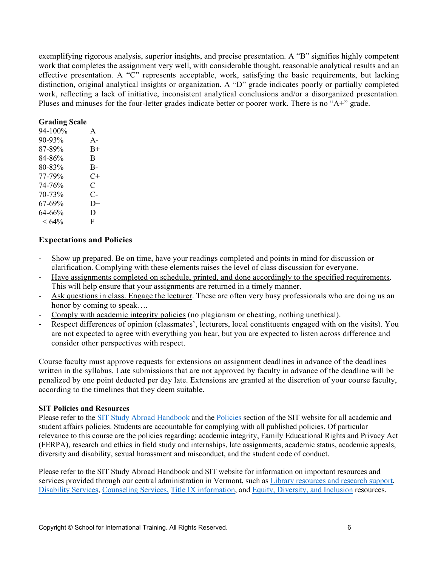exemplifying rigorous analysis, superior insights, and precise presentation. A "B" signifies highly competent work that completes the assignment very well, with considerable thought, reasonable analytical results and an effective presentation. A "C" represents acceptable, work, satisfying the basic requirements, but lacking distinction, original analytical insights or organization. A "D" grade indicates poorly or partially completed work, reflecting a lack of initiative, inconsistent analytical conclusions and/or a disorganized presentation. Pluses and minuses for the four-letter grades indicate better or poorer work. There is no "A+" grade.

#### **Grading Scale**

| 94-100%  | A                    |
|----------|----------------------|
| 90-93%   | $A -$                |
| 87-89%   | $B+$                 |
| 84-86%   | B                    |
| 80-83%   | B-                   |
| 77-79%   | $C+$                 |
| 74-76%   | C                    |
| 70-73%   | $\mathsf{C}\text{-}$ |
| 67-69%   | D+                   |
| 64-66%   | D                    |
| $< 64\%$ | F                    |
|          |                      |

#### **Expectations and Policies**

- Show up prepared. Be on time, have your readings completed and points in mind for discussion or clarification. Complying with these elements raises the level of class discussion for everyone.
- Have assignments completed on schedule, printed, and done accordingly to the specified requirements. This will help ensure that your assignments are returned in a timely manner.
- Ask questions in class. Engage the lecturer. These are often very busy professionals who are doing us an honor by coming to speak….
- Comply with academic integrity policies (no plagiarism or cheating, nothing unethical).
- Respect differences of opinion (classmates', lecturers, local constituents engaged with on the visits). You are not expected to agree with everything you hear, but you are expected to listen across difference and consider other perspectives with respect.

Course faculty must approve requests for extensions on assignment deadlines in advance of the deadlines written in the syllabus. Late submissions that are not approved by faculty in advance of the deadline will be penalized by one point deducted per day late. Extensions are granted at the discretion of your course faculty, according to the timelines that they deem suitable.

#### **SIT Policies and Resources**

Please refer to the [SIT Study Abroad Handbook](https://studyabroad.sit.edu/Student-Handbook/) and the [Policies s](https://studyabroad.sit.edu/admitted-students/policies/)ection of the SIT website for all academic and student affairs policies. Students are accountable for complying with all published policies. Of particular relevance to this course are the policies regarding: academic integrity, Family Educational Rights and Privacy Act (FERPA), research and ethics in field study and internships, late assignments, academic status, academic appeals, diversity and disability, sexual harassment and misconduct, and the student code of conduct.

Please refer to the SIT Study Abroad Handbook and SIT website for information on important resources and services provided through our central administration in Vermont, such as [Library resources and research support,](https://studyabroad.sit.edu/admitted-students/student-resources/) [Disability Services,](https://studyabroad.sit.edu/health-safety-and-well-being/disability-services/) [Counseling Services,](https://studyabroad.sit.edu/health-safety-and-well-being/counseling-and-mental-health/) [Title IX information,](https://studyabroad.sit.edu/health-safety-and-well-being/sexual-safety-title-ix/) and [Equity, Diversity, and Inclusion](https://studyabroad.sit.edu/health-safety-and-well-being/social-identity/) resources.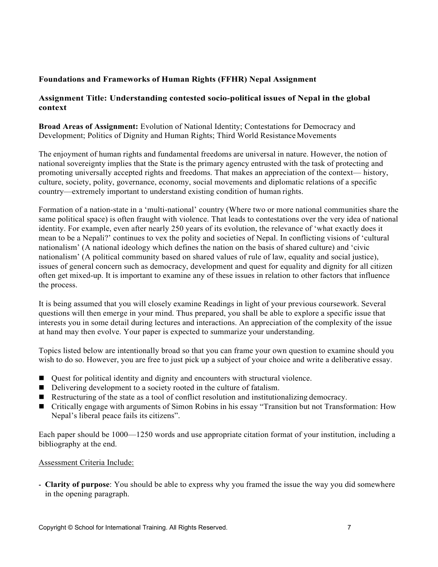# **Foundations and Frameworks of Human Rights (FFHR) Nepal Assignment**

# **Assignment Title: Understanding contested socio-political issues of Nepal in the global context**

**Broad Areas of Assignment:** Evolution of National Identity; Contestations for Democracy and Development; Politics of Dignity and Human Rights; Third World Resistance Movements

The enjoyment of human rights and fundamental freedoms are universal in nature. However, the notion of national sovereignty implies that the State is the primary agency entrusted with the task of protecting and promoting universally accepted rights and freedoms. That makes an appreciation of the context— history, culture, society, polity, governance, economy, social movements and diplomatic relations of a specific country—extremely important to understand existing condition of human rights.

Formation of a nation-state in a 'multi-national' country (Where two or more national communities share the same political space) is often fraught with violence. That leads to contestations over the very idea of national identity. For example, even after nearly 250 years of its evolution, the relevance of 'what exactly does it mean to be a Nepali?' continues to vex the polity and societies of Nepal. In conflicting visions of 'cultural nationalism' (A national ideology which defines the nation on the basis of shared culture) and 'civic nationalism' (A political community based on shared values of rule of law, equality and social justice), issues of general concern such as democracy, development and quest for equality and dignity for all citizen often get mixed-up. It is important to examine any of these issues in relation to other factors that influence the process.

It is being assumed that you will closely examine Readings in light of your previous coursework. Several questions will then emerge in your mind. Thus prepared, you shall be able to explore a specific issue that interests you in some detail during lectures and interactions. An appreciation of the complexity of the issue at hand may then evolve. Your paper is expected to summarize your understanding.

Topics listed below are intentionally broad so that you can frame your own question to examine should you wish to do so. However, you are free to just pick up a subject of your choice and write a deliberative essay.

- Quest for political identity and dignity and encounters with structural violence.
- Delivering development to a society rooted in the culture of fatalism.
- Restructuring of the state as a tool of conflict resolution and institutionalizing democracy.
- Critically engage with arguments of Simon Robins in his essay "Transition but not Transformation: How Nepal's liberal peace fails its citizens".

Each paper should be 1000—1250 words and use appropriate citation format of your institution, including a bibliography at the end.

#### Assessment Criteria Include:

- **Clarity of purpose**: You should be able to express why you framed the issue the way you did somewhere in the opening paragraph.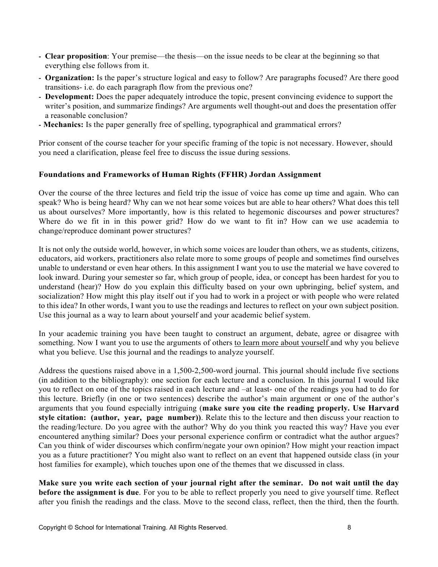- **Clear proposition**: Your premise—the thesis—on the issue needs to be clear at the beginning so that everything else follows from it.
- **Organization:** Is the paper's structure logical and easy to follow? Are paragraphs focused? Are there good transitions- i.e. do each paragraph flow from the previous one?
- **Development:** Does the paper adequately introduce the topic, present convincing evidence to support the writer's position, and summarize findings? Are arguments well thought-out and does the presentation offer a reasonable conclusion?
- **Mechanics:** Is the paper generally free of spelling, typographical and grammatical errors?

Prior consent of the course teacher for your specific framing of the topic is not necessary. However, should you need a clarification, please feel free to discuss the issue during sessions.

#### **Foundations and Frameworks of Human Rights (FFHR) Jordan Assignment**

Over the course of the three lectures and field trip the issue of voice has come up time and again. Who can speak? Who is being heard? Why can we not hear some voices but are able to hear others? What does this tell us about ourselves? More importantly, how is this related to hegemonic discourses and power structures? Where do we fit in in this power grid? How do we want to fit in? How can we use academia to change/reproduce dominant power structures?

It is not only the outside world, however, in which some voices are louder than others, we as students, citizens, educators, aid workers, practitioners also relate more to some groups of people and sometimes find ourselves unable to understand or even hear others. In this assignment I want you to use the material we have covered to look inward. During your semester so far, which group of people, idea, or concept has been hardest for you to understand (hear)? How do you explain this difficulty based on your own upbringing, belief system, and socialization? How might this play itself out if you had to work in a project or with people who were related to this idea? In other words, I want you to use the readings and lectures to reflect on your own subject position. Use this journal as a way to learn about yourself and your academic belief system.

In your academic training you have been taught to construct an argument, debate, agree or disagree with something. Now I want you to use the arguments of others to learn more about yourself and why you believe what you believe. Use this journal and the readings to analyze yourself.

Address the questions raised above in a 1,500-2,500-word journal. This journal should include five sections (in addition to the bibliography): one section for each lecture and a conclusion. In this journal I would like you to reflect on one of the topics raised in each lecture and –at least- one of the readings you had to do for this lecture. Briefly (in one or two sentences) describe the author's main argument or one of the author's arguments that you found especially intriguing (**make sure you cite the reading properly. Use Harvard style citation: (author, year, page number))**. Relate this to the lecture and then discuss your reaction to the reading/lecture. Do you agree with the author? Why do you think you reacted this way? Have you ever encountered anything similar? Does your personal experience confirm or contradict what the author argues? Can you think of wider discourses which confirm/negate your own opinion? How might your reaction impact you as a future practitioner? You might also want to reflect on an event that happened outside class (in your host families for example), which touches upon one of the themes that we discussed in class.

**Make sure you write each section of your journal right after the seminar. Do not wait until the day before the assignment is due**. For you to be able to reflect properly you need to give yourself time. Reflect after you finish the readings and the class. Move to the second class, reflect, then the third, then the fourth.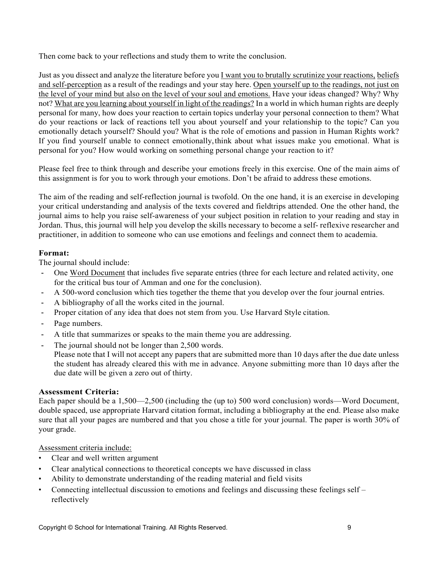Then come back to your reflections and study them to write the conclusion.

Just as you dissect and analyze the literature before you I want you to brutally scrutinize your reactions, beliefs and self-perception as a result of the readings and your stay here. Open yourself up to the readings, not just on the level of your mind but also on the level of your soul and emotions. Have your ideas changed? Why? Why not? What are you learning about yourself in light of the readings? In a world in which human rights are deeply personal for many, how does your reaction to certain topics underlay your personal connection to them? What do your reactions or lack of reactions tell you about yourself and your relationship to the topic? Can you emotionally detach yourself? Should you? What is the role of emotions and passion in Human Rights work? If you find yourself unable to connect emotionally,think about what issues make you emotional. What is personal for you? How would working on something personal change your reaction to it?

Please feel free to think through and describe your emotions freely in this exercise. One of the main aims of this assignment is for you to work through your emotions. Don't be afraid to address these emotions.

The aim of the reading and self-reflection journal is twofold. On the one hand, it is an exercise in developing your critical understanding and analysis of the texts covered and fieldtrips attended. One the other hand, the journal aims to help you raise self-awareness of your subject position in relation to your reading and stay in Jordan. Thus, this journal will help you develop the skills necessary to become a self- reflexive researcher and practitioner, in addition to someone who can use emotions and feelings and connect them to academia.

# **Format:**

The journal should include:

- One Word Document that includes five separate entries (three for each lecture and related activity, one for the critical bus tour of Amman and one for the conclusion).
- A 500-word conclusion which ties together the theme that you develop over the four journal entries.
- A bibliography of all the works cited in the journal.
- Proper citation of any idea that does not stem from you. Use Harvard Style citation.
- Page numbers.
- A title that summarizes or speaks to the main theme you are addressing.
- The journal should not be longer than 2,500 words.
	- Please note that I will not accept any papers that are submitted more than 10 days after the due date unless the student has already cleared this with me in advance. Anyone submitting more than 10 days after the due date will be given a zero out of thirty.

# **Assessment Criteria:**

Each paper should be a 1,500—2,500 (including the (up to) 500 word conclusion) words—Word Document, double spaced, use appropriate Harvard citation format, including a bibliography at the end. Please also make sure that all your pages are numbered and that you chose a title for your journal. The paper is worth 30% of your grade.

Assessment criteria include:

- Clear and well written argument
- Clear analytical connections to theoretical concepts we have discussed in class
- Ability to demonstrate understanding of the reading material and field visits
- Connecting intellectual discussion to emotions and feelings and discussing these feelings self reflectively